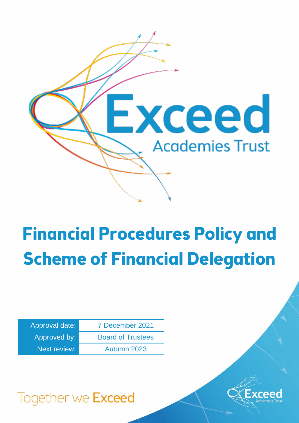

# **Financial Procedures Policy and Scheme of Financial Delegation**

| Approval date:      | 7 December 2021          |
|---------------------|--------------------------|
| Approved by:        | <b>Board of Trustees</b> |
| <b>Next review:</b> | Autumn 2023              |



Together we Exceed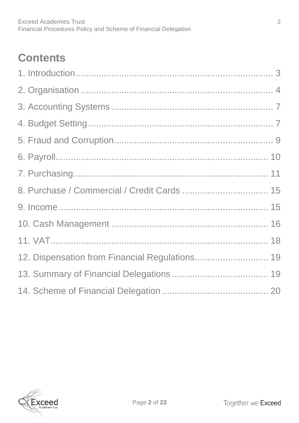# **Contents**

| 8. Purchase / Commercial / Credit Cards  15    |  |
|------------------------------------------------|--|
|                                                |  |
|                                                |  |
|                                                |  |
| 12. Dispensation from Financial Regulations 19 |  |
|                                                |  |
|                                                |  |

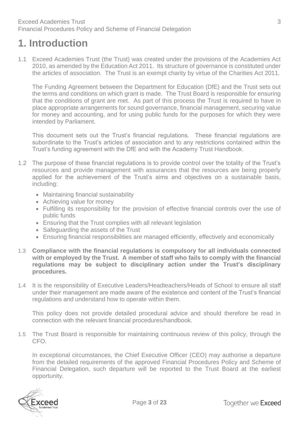# <span id="page-2-0"></span>**1. Introduction**

1.1 Exceed Academies Trust (the Trust) was created under the provisions of the Academies Act 2010, as amended by the Education Act 2011. Its structure of governance is constituted under the articles of association. The Trust is an exempt charity by virtue of the Charities Act 2011.

The Funding Agreement between the Department for Education (DfE) and the Trust sets out the terms and conditions on which grant is made. The Trust Board is responsible for ensuring that the conditions of grant are met. As part of this process the Trust is required to have in place appropriate arrangements for sound governance, financial management, securing value for money and accounting, and for using public funds for the purposes for which they were intended by Parliament.

This document sets out the Trust's financial regulations. These financial regulations are subordinate to the Trust's articles of association and to any restrictions contained within the Trust's funding agreement with the DfE and with the Academy Trust Handbook.

- 1.2 The purpose of these financial regulations is to provide control over the totality of the Trust's resources and provide management with assurances that the resources are being properly applied for the achievement of the Trust's aims and objectives on a sustainable basis, including:
	- Maintaining financial sustainability
	- Achieving value for money
	- Fulfilling its responsibility for the provision of effective financial controls over the use of public funds
	- Ensuring that the Trust complies with all relevant legislation
	- Safeguarding the assets of the Trust
	- Ensuring financial responsibilities are managed efficiently, effectively and economically
- 1.3 **Compliance with the financial regulations is compulsory for all individuals connected with or employed by the Trust. A member of staff who fails to comply with the financial regulations may be subject to disciplinary action under the Trust's disciplinary procedures.**
- 1.4 It is the responsibility of Executive Leaders/Headteachers/Heads of School to ensure all staff under their management are made aware of the existence and content of the Trust's financial regulations and understand how to operate within them.

This policy does not provide detailed procedural advice and should therefore be read in connection with the relevant financial procedures/handbook.

1.5 The Trust Board is responsible for maintaining continuous review of this policy, through the CFO.

In exceptional circumstances, the Chief Executive Officer (CEO) may authorise a departure from the detailed requirements of the approved Financial Procedures Policy and Scheme of Financial Delegation, such departure will be reported to the Trust Board at the earliest opportunity.

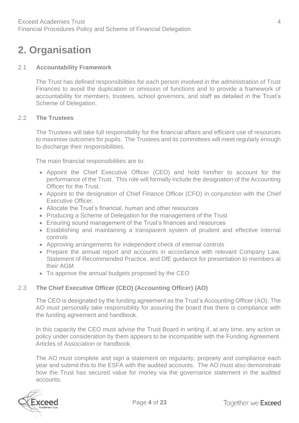# <span id="page-3-0"></span>**2. Organisation**

#### 2.1 **Accountability Framework**

The Trust has defined responsibilities for each person involved in the administration of Trust Finances to avoid the duplication or omission of functions and to provide a framework of accountability for members, trustees, school governors, and staff as detailed in the Trust's Scheme of Delegation.

#### 2.2 **The Trustees**

The Trustees will take full responsibility for the financial affairs and efficient use of resources to maximise outcomes for pupils. The Trustees and its committees will meet regularly enough to discharge their responsibilities.

The main financial responsibilities are to:

- Appoint the Chief Executive Officer (CEO) and hold him/her to account for the performance of the Trust. This role will formally include the designation of the Accounting Officer for the Trust.
- Appoint to the designation of Chief Finance Officer (CFO) in conjunction with the Chief Executive Officer.
- Allocate the Trust's financial, human and other resources
- Producing a Scheme of Delegation for the management of the Trust
- Ensuring sound management of the Trust's finances and resources
- Establishing and maintaining a transparent system of prudent and effective internal controls
- Approving arrangements for independent check of internal controls
- Prepare the annual report and accounts in accordance with relevant Company Law, Statement of Recommended Practice, and DfE guidance for presentation to members at their AGM
- To approve the annual budgets proposed by the CEO

#### 2.3 **The Chief Executive Officer (CEO) (Accounting Officer) (AO)**

The CEO is designated by the funding agreement as the Trust's Accounting Officer (AO). The AO must personally take responsibility for assuring the board that there is compliance with the funding agreement and handbook.

In this capacity the CEO must advise the Trust Board in writing if, at any time, any action or policy under consideration by them appears to be incompatible with the Funding Agreement. Articles of Association or handbook.

The AO must complete and sign a statement on regularity, propriety and compliance each year and submit this to the ESFA with the audited accounts. The AO must also demonstrate how the Trust has secured value for money via the governance statement in the audited accounts.

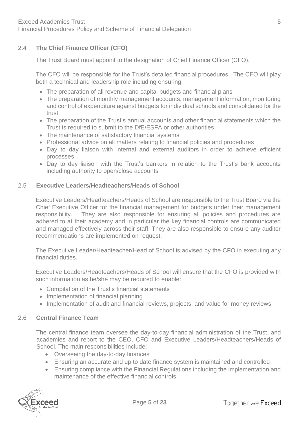#### 2.4 **The Chief Finance Officer (CFO)**

The Trust Board must appoint to the designation of Chief Finance Officer (CFO).

The CFO will be responsible for the Trust's detailed financial procedures. The CFO will play both a technical and leadership role including ensuring:

- The preparation of all revenue and capital budgets and financial plans
- The preparation of monthly management accounts, management information, monitoring and control of expenditure against budgets for individual schools and consolidated for the trust.
- The preparation of the Trust's annual accounts and other financial statements which the Trust is required to submit to the DfE/ESFA or other authorities
- The maintenance of satisfactory financial systems
- Professional advice on all matters relating to financial policies and procedures
- Day to day liaison with internal and external auditors in order to achieve efficient processes
- Day to day liaison with the Trust's bankers in relation to the Trust's bank accounts including authority to open/close accounts

#### 2.5 **Executive Leaders/Headteachers/Heads of School**

Executive Leaders/Headteachers/Heads of School are responsible to the Trust Board via the Chief Executive Officer for the financial management for budgets under their management responsibility. They are also responsible for ensuring all policies and procedures are adhered to at their academy and in particular the key financial controls are communicated and managed effectively across their staff. They are also responsible to ensure any auditor recommendations are implemented on request.

The Executive Leader/Headteacher/Head of School is advised by the CFO in executing any financial duties.

Executive Leaders/Headteachers/Heads of School will ensure that the CFO is provided with such information as he/she may be required to enable:

- Compilation of the Trust's financial statements
- Implementation of financial planning
- Implementation of audit and financial reviews, projects, and value for money reviews

#### 2.6 **Central Finance Team**

The central finance team oversee the day-to-day financial administration of the Trust, and academies and report to the CEO, CFO and Executive Leaders/Headteachers/Heads of School. The main responsibilities include:

- Overseeing the day-to-day finances
- Ensuring an accurate and up to date finance system is maintained and controlled
- Ensuring compliance with the Financial Regulations including the implementation and maintenance of the effective financial controls

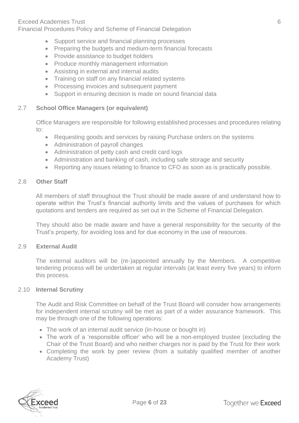#### Exceed Academies Trust 6

Financial Procedures Policy and Scheme of Financial Delegation

- Support service and financial planning processes
- Preparing the budgets and medium-term financial forecasts
- Provide assistance to budget holders
- Produce monthly management information
- Assisting in external and internal audits
- Training on staff on any financial related systems
- Processing invoices and subsequent payment
- Support in ensuring decision is made on sound financial data

#### 2.7 **School Office Managers (or equivalent)**

Office Managers are responsible for following established processes and procedures relating to:

- Requesting goods and services by raising Purchase orders on the systems
- Administration of payroll changes
- Administration of petty cash and credit card logs
- Administration and banking of cash, including safe storage and security
- Reporting any issues relating to finance to CFO as soon as is practically possible.

#### 2.8 **Other Staff**

All members of staff throughout the Trust should be made aware of and understand how to operate within the Trust's financial authority limits and the values of purchases for which quotations and tenders are required as set out in the Scheme of Financial Delegation.

They should also be made aware and have a general responsibility for the security of the Trust's property, for avoiding loss and for due economy in the use of resources.

#### 2.9 **External Audit**

The external auditors will be (re-)appointed annually by the Members. A competitive tendering process will be undertaken at regular intervals (at least every five years) to inform this process.

#### 2.10 **Internal Scrutiny**

The Audit and Risk Committee on behalf of the Trust Board will consider how arrangements for independent internal scrutiny will be met as part of a wider assurance framework. This may be through one of the following operations:

- The work of an internal audit service (in-house or bought in)
- The work of a 'responsible officer' who will be a non-employed trustee (excluding the Chair of the Trust Board) and who neither charges nor is paid by the Trust for their work
- Completing the work by peer review (from a suitably qualified member of another Academy Trust)

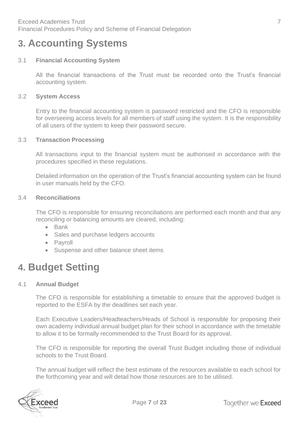# <span id="page-6-0"></span>**3. Accounting Systems**

#### 3.1 **Financial Accounting System**

All the financial transactions of the Trust must be recorded onto the Trust's financial accounting system.

#### 3.2 **System Access**

Entry to the financial accounting system is password restricted and the CFO is responsible for overseeing access levels for all members of staff using the system. It is the responsibility of all users of the system to keep their password secure.

#### 3.3 **Transaction Processing**

All transactions input to the financial system must be authorised in accordance with the procedures specified in these regulations.

Detailed information on the operation of the Trust's financial accounting system can be found in user manuals held by the CFO.

#### 3.4 **Reconciliations**

The CFO is responsible for ensuring reconciliations are performed each month and that any reconciling or balancing amounts are cleared, including:

- Bank
- Sales and purchase ledgers accounts
- Payroll
- Suspense and other balance sheet items

### <span id="page-6-1"></span>**4. Budget Setting**

#### 4.1 **Annual Budget**

The CFO is responsible for establishing a timetable to ensure that the approved budget is reported to the ESFA by the deadlines set each year.

Each Executive Leaders/Headteachers/Heads of School is responsible for proposing their own academy individual annual budget plan for their school in accordance with the timetable to allow it to be formally recommended to the Trust Board for its approval.

The CFO is responsible for reporting the overall Trust Budget including those of individual schools to the Trust Board.

The annual budget will reflect the best estimate of the resources available to each school for the forthcoming year and will detail how those resources are to be utilised.

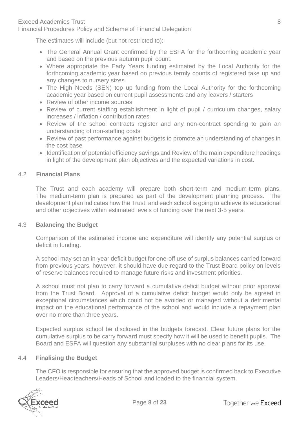Financial Procedures Policy and Scheme of Financial Delegation

The estimates will include (but not restricted to):

- The General Annual Grant confirmed by the ESFA for the forthcoming academic year and based on the previous autumn pupil count.
- Where appropriate the Early Years funding estimated by the Local Authority for the forthcoming academic year based on previous termly counts of registered take up and any changes to nursery sizes
- The High Needs (SEN) top up funding from the Local Authority for the forthcoming academic year based on current pupil assessments and any leavers / starters
- Review of other income sources
- Review of current staffing establishment in light of pupil / curriculum changes, salary increases / inflation / contribution rates
- Review of the school contracts register and any non-contract spending to gain an understanding of non-staffing costs
- Review of past performance against budgets to promote an understanding of changes in the cost base
- Identification of potential efficiency savings and Review of the main expenditure headings in light of the development plan objectives and the expected variations in cost.

#### 4.2 **Financial Plans**

The Trust and each academy will prepare both short-term and medium-term plans. The medium-term plan is prepared as part of the development planning process. The development plan indicates how the Trust, and each school is going to achieve its educational and other objectives within estimated levels of funding over the next 3-5 years.

#### 4.3 **Balancing the Budget**

Comparison of the estimated income and expenditure will identify any potential surplus or deficit in funding.

A school may set an in-year deficit budget for one-off use of surplus balances carried forward from previous years, however, it should have due regard to the Trust Board policy on levels of reserve balances required to manage future risks and investment priorities.

A school must not plan to carry forward a cumulative deficit budget without prior approval from the Trust Board. Approval of a cumulative deficit budget would only be agreed in exceptional circumstances which could not be avoided or managed without a detrimental impact on the educational performance of the school and would include a repayment plan over no more than three years.

Expected surplus school be disclosed in the budgets forecast. Clear future plans for the cumulative surplus to be carry forward must specify how it will be used to benefit pupils. The Board and ESFA will question any substantial surpluses with no clear plans for its use.

#### 4.4 **Finalising the Budget**

The CFO is responsible for ensuring that the approved budget is confirmed back to Executive Leaders/Headteachers/Heads of School and loaded to the financial system.

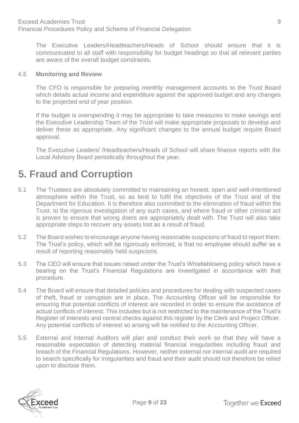The Executive Leaders/Headteachers/Heads of School should ensure that it is communicated to all staff with responsibility for budget headings so that all relevant parties are aware of the overall budget constraints.

#### 4.5 **Monitoring and Review**

The CFO is responsible for preparing monthly management accounts to the Trust Board which details actual income and expenditure against the approved budget and any changes to the projected end of year position.

If the budget is overspending it may be appropriate to take measures to make savings and the Executive Leadership Team of the Trust will make appropriate proposals to develop and deliver these as appropriate. Any significant changes to the annual budget require Board approval.

The Executive Leaders/ /Headteachers/Heads of School will share finance reports with the Local Advisory Board periodically throughout the year.

# <span id="page-8-0"></span>**5. Fraud and Corruption**

- 5.1 The Trustees are absolutely committed to maintaining an honest, open and well-intentioned atmosphere within the Trust, so as best to fulfil the objectives of the Trust and of the Department for Education. It is therefore also committed to the elimination of fraud within the Trust, to the rigorous investigation of any such cases, and where fraud or other criminal act is proven to ensure that wrong doers are appropriately dealt with. The Trust will also take appropriate steps to recover any assets lost as a result of fraud.
- 5.2 The Board wishes to encourage anyone having reasonable suspicions of fraud to report them. The Trust's policy, which will be rigorously enforced, is that no employee should suffer as a result of reporting reasonably held suspicions.
- 5.3 The CEO will ensure that issues raised under the Trust's Whistleblowing policy which have a bearing on the Trust's Financial Regulations are investigated in accordance with that procedure.
- 5.4 The Board will ensure that detailed policies and procedures for dealing with suspected cases of theft, fraud or corruption are in place. The Accounting Officer will be responsible for ensuring that potential conflicts of interest are recorded in order to ensure the avoidance of actual conflicts of interest. This includes but is not restricted to the maintenance of the Trust's Register of Interests and central checks against this register by the Clerk and Project Officer. Any potential conflicts of interest so arising will be notified to the Accounting Officer.
- 5.5 External and Internal Auditors will plan and conduct their work so that they will have a reasonable expectation of detecting material financial irregularities including fraud and breach of the Financial Regulations. However, neither external nor internal audit are required to search specifically for irregularities and fraud and their audit should not therefore be relied upon to disclose them.

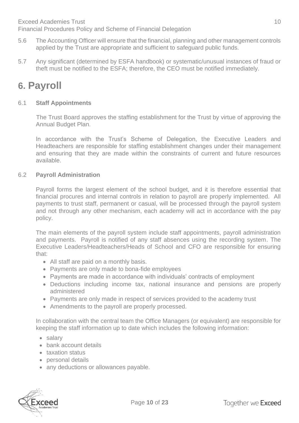Financial Procedures Policy and Scheme of Financial Delegation

- 5.6 The Accounting Officer will ensure that the financial, planning and other management controls applied by the Trust are appropriate and sufficient to safeguard public funds.
- 5.7 Any significant (determined by ESFA handbook) or systematic/unusual instances of fraud or theft must be notified to the ESFA; therefore, the CEO must be notified immediately.

# <span id="page-9-0"></span>**6. Payroll**

#### 6.1 **Staff Appointments**

The Trust Board approves the staffing establishment for the Trust by virtue of approving the Annual Budget Plan.

In accordance with the Trust's Scheme of Delegation, the Executive Leaders and Headteachers are responsible for staffing establishment changes under their management and ensuring that they are made within the constraints of current and future resources available.

#### 6.2 **Payroll Administration**

Payroll forms the largest element of the school budget, and it is therefore essential that financial procures and internal controls in relation to payroll are properly implemented. All payments to trust staff, permanent or casual, will be processed through the payroll system and not through any other mechanism, each academy will act in accordance with the pay policy.

The main elements of the payroll system include staff appointments, payroll administration and payments. Payroll is notified of any staff absences using the recording system. The Executive Leaders/Headteachers/Heads of School and CFO are responsible for ensuring that:

- All staff are paid on a monthly basis.
- Payments are only made to bona-fide employees
- Payments are made in accordance with individuals' contracts of employment
- Deductions including income tax, national insurance and pensions are properly administered
- Payments are only made in respect of services provided to the academy trust
- Amendments to the payroll are properly processed.

In collaboration with the central team the Office Managers (or equivalent) are responsible for keeping the staff information up to date which includes the following information:

- salary
- bank account details
- taxation status
- personal details
- any deductions or allowances payable.

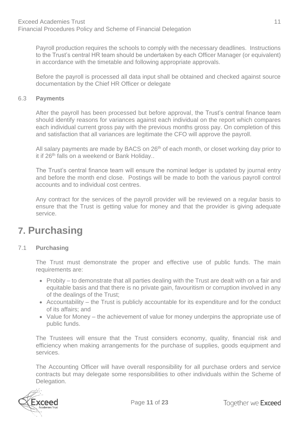Payroll production requires the schools to comply with the necessary deadlines. Instructions to the Trust's central HR team should be undertaken by each Officer Manager (or equivalent) in accordance with the timetable and following appropriate approvals.

Before the payroll is processed all data input shall be obtained and checked against source documentation by the Chief HR Officer or delegate

#### 6.3 **Payments**

After the payroll has been processed but before approval, the Trust's central finance team should identify reasons for variances against each individual on the report which compares each individual current gross pay with the previous months gross pay. On completion of this and satisfaction that all variances are legitimate the CFO will approve the payroll.

All salary payments are made by BACS on 26<sup>th</sup> of each month, or closet working day prior to it if 26<sup>th</sup> falls on a weekend or Bank Holiday..

The Trust's central finance team will ensure the nominal ledger is updated by journal entry and before the month end close. Postings will be made to both the various payroll control accounts and to individual cost centres.

Any contract for the services of the payroll provider will be reviewed on a regular basis to ensure that the Trust is getting value for money and that the provider is giving adequate service.

# <span id="page-10-0"></span>**7. Purchasing**

#### 7.1 **Purchasing**

The Trust must demonstrate the proper and effective use of public funds. The main requirements are:

- Probity to demonstrate that all parties dealing with the Trust are dealt with on a fair and equitable basis and that there is no private gain, favouritism or corruption involved in any of the dealings of the Trust;
- Accountability the Trust is publicly accountable for its expenditure and for the conduct of its affairs; and
- Value for Money the achievement of value for money underpins the appropriate use of public funds.

The Trustees will ensure that the Trust considers economy, quality, financial risk and efficiency when making arrangements for the purchase of supplies, goods equipment and services.

The Accounting Officer will have overall responsibility for all purchase orders and service contracts but may delegate some responsibilities to other individuals within the Scheme of Delegation.

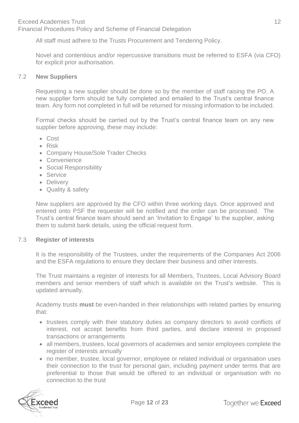All staff must adhere to the Trusts Procurement and Tendering Policy.

Novel and contentious and/or repercussive transitions must be referred to ESFA (via CFO) for explicit prior authorisation.

#### 7.2 **New Suppliers**

Requesting a new supplier should be done so by the member of staff raising the PO. A new supplier form should be fully completed and emailed to the Trust's central finance team. Any form not completed in full will be returned for missing information to be included.

Formal checks should be carried out by the Trust's central finance team on any new supplier before approving, these may include:

- Cost
- Risk
- Company House/Sole Trader Checks
- Convenience
- Social Responsibility
- Service
- Delivery
- Quality & safety

New suppliers are approved by the CFO within three working days. Once approved and entered onto PSF the requester will be notified and the order can be processed. The Trust's central finance team should send an 'Invitation to Engage' to the supplier, asking them to submit bank details, using the official request form.

#### 7.3 **Register of interests**

It is the responsibility of the Trustees, under the requirements of the Companies Act 2006 and the ESFA regulations to ensure they declare their business and other interests.

The Trust maintains a register of interests for all Members, Trustees, Local Advisory Board members and senior members of staff which is available on the Trust's website. This is updated annually.

Academy trusts **must** be even-handed in their relationships with related parties by ensuring that:

- trustees comply with their statutory duties as company directors to avoid conflicts of interest, not accept benefits from third parties, and declare interest in proposed transactions or arrangements
- all members, trustees, local governors of academies and senior employees complete the register of interests annually
- no member, trustee, local governor, employee or related individual or organisation uses their connection to the trust for personal gain, including payment under terms that are preferential to those that would be offered to an individual or organisation with no connection to the trust

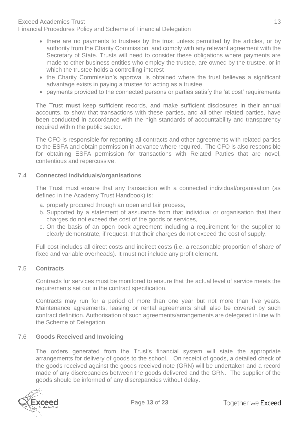#### Exceed Academies Trust 13

Financial Procedures Policy and Scheme of Financial Delegation

- there are no payments to trustees by the trust unless permitted by the articles, or by authority from the Charity Commission, and comply with any relevant agreement with the Secretary of State. Trusts will need to consider these obligations where payments are made to other business entities who employ the trustee, are owned by the trustee, or in which the trustee holds a controlling interest
- the Charity Commission's approval is obtained where the trust believes a significant advantage exists in paying a trustee for acting as a trustee
- payments provided to the connected persons or parties satisfy the 'at cost' requirements

The Trust **must** keep sufficient records, and make sufficient disclosures in their annual accounts, to show that transactions with these parties, and all other related parties, have been conducted in accordance with the high standards of accountability and transparency required within the public sector.

The CFO is responsible for reporting all contracts and other agreements with related parties to the ESFA and obtain permission in advance where required. The CFO is also responsible for obtaining ESFA permission for transactions with Related Parties that are novel, contentious and repercussive.

#### 7.4 **Connected individuals/organisations**

The Trust must ensure that any transaction with a connected individual/organisation (as defined in the Academy Trust Handbook) is:

- a. properly procured through an open and fair process,
- b. Supported by a statement of assurance from that individual or organisation that their charges do not exceed the cost of the goods or services,
- c. On the basis of an open book agreement including a requirement for the supplier to clearly demonstrate, if request, that their charges do not exceed the cost of supply.

Full cost includes all direct costs and indirect costs (i.e. a reasonable proportion of share of fixed and variable overheads). It must not include any profit element.

#### 7.5 **Contracts**

Contracts for services must be monitored to ensure that the actual level of service meets the requirements set out in the contract specification.

Contracts may run for a period of more than one year but not more than five years. Maintenance agreements, leasing or rental agreements shall also be covered by such contract definition. Authorisation of such agreements/arrangements are delegated in line with the Scheme of Delegation.

#### 7.6 **Goods Received and Invoicing**

The orders generated from the Trust's financial system will state the appropriate arrangements for delivery of goods to the school. On receipt of goods, a detailed check of the goods received against the goods received note (GRN) will be undertaken and a record made of any discrepancies between the goods delivered and the GRN. The supplier of the goods should be informed of any discrepancies without delay.

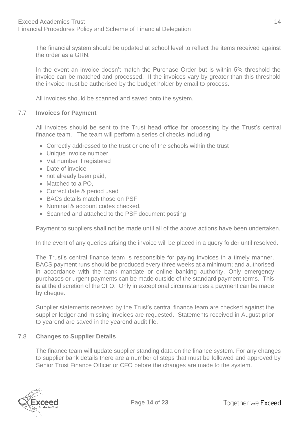The financial system should be updated at school level to reflect the items received against the order as a GRN.

In the event an invoice doesn't match the Purchase Order but is within 5% threshold the invoice can be matched and processed. If the invoices vary by greater than this threshold the invoice must be authorised by the budget holder by email to process.

All invoices should be scanned and saved onto the system.

#### 7.7 **Invoices for Payment**

All invoices should be sent to the Trust head office for processing by the Trust's central finance team. The team will perform a series of checks including:

- Correctly addressed to the trust or one of the schools within the trust
- Unique invoice number
- Vat number if registered
- Date of invoice
- not already been paid,
- Matched to a PO,
- Correct date & period used
- BACs details match those on PSF
- Nominal & account codes checked,
- Scanned and attached to the PSF document posting

Payment to suppliers shall not be made until all of the above actions have been undertaken.

In the event of any queries arising the invoice will be placed in a query folder until resolved.

The Trust's central finance team is responsible for paying invoices in a timely manner. BACS payment runs should be produced every three weeks at a minimum; and authorised in accordance with the bank mandate or online banking authority. Only emergency purchases or urgent payments can be made outside of the standard payment terms. This is at the discretion of the CFO. Only in exceptional circumstances a payment can be made by cheque.

Supplier statements received by the Trust's central finance team are checked against the supplier ledger and missing invoices are requested. Statements received in August prior to yearend are saved in the yearend audit file.

#### 7.8 **Changes to Supplier Details**

The finance team will update supplier standing data on the finance system. For any changes to supplier bank details there are a number of steps that must be followed and approved by Senior Trust Finance Officer or CFO before the changes are made to the system.

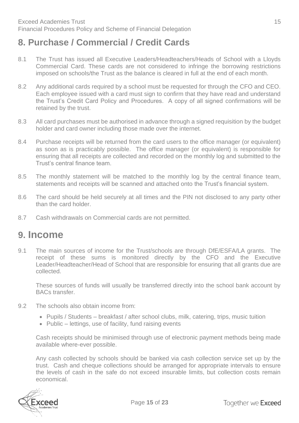### <span id="page-14-0"></span>**8. Purchase / Commercial / Credit Cards**

- 8.1 The Trust has issued all Executive Leaders/Headteachers/Heads of School with a Lloyds Commercial Card. These cards are not considered to infringe the borrowing restrictions imposed on schools/the Trust as the balance is cleared in full at the end of each month.
- 8.2 Any additional cards required by a school must be requested for through the CFO and CEO. Each employee issued with a card must sign to confirm that they have read and understand the Trust's Credit Card Policy and Procedures. A copy of all signed confirmations will be retained by the trust.
- 8.3 All card purchases must be authorised in advance through a signed requisition by the budget holder and card owner including those made over the internet.
- 8.4 Purchase receipts will be returned from the card users to the office manager (or equivalent) as soon as is practicably possible. The office manager (or equivalent) is responsible for ensuring that all receipts are collected and recorded on the monthly log and submitted to the Trust's central finance team.
- 8.5 The monthly statement will be matched to the monthly log by the central finance team, statements and receipts will be scanned and attached onto the Trust's financial system.
- 8.6 The card should be held securely at all times and the PIN not disclosed to any party other than the card holder.
- 8.7 Cash withdrawals on Commercial cards are not permitted.

### <span id="page-14-1"></span>**9. Income**

9.1 The main sources of income for the Trust/schools are through DfE/ESFA/LA grants. The receipt of these sums is monitored directly by the CFO and the Executive Leader/Headteacher/Head of School that are responsible for ensuring that all grants due are collected.

These sources of funds will usually be transferred directly into the school bank account by BACs transfer.

- 9.2 The schools also obtain income from:
	- Pupils / Students breakfast / after school clubs, milk, catering, trips, music tuition
	- Public lettings, use of facility, fund raising events

Cash receipts should be minimised through use of electronic payment methods being made available where-ever possible.

Any cash collected by schools should be banked via cash collection service set up by the trust. Cash and cheque collections should be arranged for appropriate intervals to ensure the levels of cash in the safe do not exceed insurable limits, but collection costs remain economical.

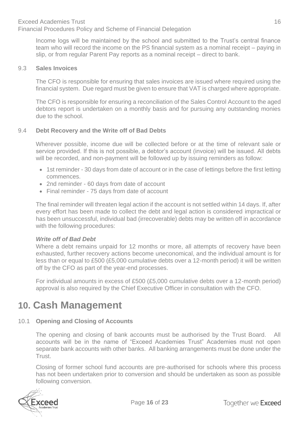Income logs will be maintained by the school and submitted to the Trust's central finance team who will record the income on the PS financial system as a nominal receipt – paying in slip, or from regular Parent Pay reports as a nominal receipt – direct to bank.

#### 9.3 **Sales Invoices**

The CFO is responsible for ensuring that sales invoices are issued where required using the financial system. Due regard must be given to ensure that VAT is charged where appropriate.

The CFO is responsible for ensuring a reconciliation of the Sales Control Account to the aged debtors report is undertaken on a monthly basis and for pursuing any outstanding monies due to the school.

#### 9.4 **Debt Recovery and the Write off of Bad Debts**

Wherever possible, income due will be collected before or at the time of relevant sale or service provided. If this is not possible, a debtor's account (invoice) will be issued. All debts will be recorded, and non-payment will be followed up by issuing reminders as follow:

- 1st reminder 30 days from date of account or in the case of lettings before the first letting commences.
- 2nd reminder 60 days from date of account
- Final reminder 75 days from date of account

The final reminder will threaten legal action if the account is not settled within 14 days. If, after every effort has been made to collect the debt and legal action is considered impractical or has been unsuccessful, individual bad (irrecoverable) debts may be written off in accordance with the following procedures:

#### *Write off of Bad Debt*

Where a debt remains unpaid for 12 months or more, all attempts of recovery have been exhausted, further recovery actions become uneconomical, and the individual amount is for less than or equal to £500 (£5,000 cumulative debts over a 12-month period) it will be written off by the CFO as part of the year-end processes.

For individual amounts in excess of £500 (£5,000 cumulative debts over a 12-month period) approval is also required by the Chief Executive Officer in consultation with the CFO.

### <span id="page-15-0"></span>**10. Cash Management**

#### 10.1 **Opening and Closing of Accounts**

The opening and closing of bank accounts must be authorised by the Trust Board. All accounts will be in the name of "Exceed Academies Trust" Academies must not open separate bank accounts with other banks. All banking arrangements must be done under the Trust.

Closing of former school fund accounts are pre-authorised for schools where this process has not been undertaken prior to conversion and should be undertaken as soon as possible following conversion.

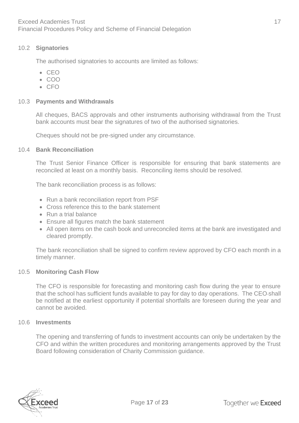#### 10.2 **Signatories**

The authorised signatories to accounts are limited as follows:

- CEO
- COO
- $\cdot$  CFO

#### 10.3 **Payments and Withdrawals**

All cheques, BACS approvals and other instruments authorising withdrawal from the Trust bank accounts must bear the signatures of two of the authorised signatories.

Cheques should not be pre-signed under any circumstance.

#### 10.4 **Bank Reconciliation**

The Trust Senior Finance Officer is responsible for ensuring that bank statements are reconciled at least on a monthly basis. Reconciling items should be resolved.

The bank reconciliation process is as follows:

- Run a bank reconciliation report from PSF
- Cross reference this to the bank statement
- Run a trial balance
- Ensure all figures match the bank statement
- All open items on the cash book and unreconciled items at the bank are investigated and cleared promptly.

The bank reconciliation shall be signed to confirm review approved by CFO each month in a timely manner.

#### 10.5 **Monitoring Cash Flow**

The CFO is responsible for forecasting and monitoring cash flow during the year to ensure that the school has sufficient funds available to pay for day to day operations. The CEO shall be notified at the earliest opportunity if potential shortfalls are foreseen during the year and cannot be avoided.

#### 10.6 **Investments**

The opening and transferring of funds to investment accounts can only be undertaken by the CFO and within the written procedures and monitoring arrangements approved by the Trust Board following consideration of Charity Commission guidance.

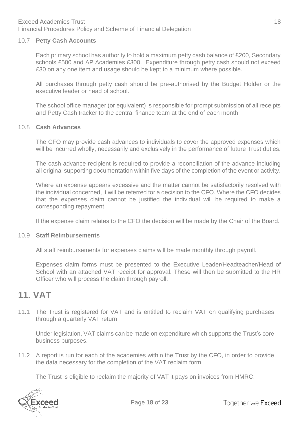#### 10.7 **Petty Cash Accounts**

Each primary school has authority to hold a maximum petty cash balance of £200, Secondary schools £500 and AP Academies £300. Expenditure through petty cash should not exceed £30 on any one item and usage should be kept to a minimum where possible.

All purchases through petty cash should be pre-authorised by the Budget Holder or the executive leader or head of school.

The school office manager (or equivalent) is responsible for prompt submission of all receipts and Petty Cash tracker to the central finance team at the end of each month.

#### 10.8 **Cash Advances**

The CFO may provide cash advances to individuals to cover the approved expenses which will be incurred wholly, necessarily and exclusively in the performance of future Trust duties.

The cash advance recipient is required to provide a reconciliation of the advance including all original supporting documentation within five days of the completion of the event or activity.

Where an expense appears excessive and the matter cannot be satisfactorily resolved with the individual concerned, it will be referred for a decision to the CFO. Where the CFO decides that the expenses claim cannot be justified the individual will be required to make a corresponding repayment

If the expense claim relates to the CFO the decision will be made by the Chair of the Board.

#### 10.9 **Staff Reimbursements**

All staff reimbursements for expenses claims will be made monthly through payroll.

Expenses claim forms must be presented to the Executive Leader/Headteacher/Head of School with an attached VAT receipt for approval. These will then be submitted to the HR Officer who will process the claim through payroll.

### <span id="page-17-0"></span>**11. VAT**

11.1 The Trust is registered for VAT and is entitled to reclaim VAT on qualifying purchases through a quarterly VAT return.

Under legislation, VAT claims can be made on expenditure which supports the Trust's core business purposes.

11.2 A report is run for each of the academies within the Trust by the CFO, in order to provide the data necessary for the completion of the VAT reclaim form.

The Trust is eligible to reclaim the majority of VAT it pays on invoices from HMRC.

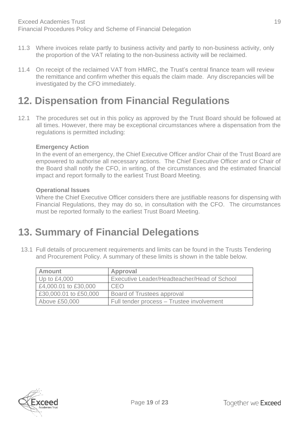- 11.3 Where invoices relate partly to business activity and partly to non-business activity, only the proportion of the VAT relating to the non-business activity will be reclaimed.
- 11.4 On receipt of the reclaimed VAT from HMRC, the Trust's central finance team will review the remittance and confirm whether this equals the claim made. Any discrepancies will be investigated by the CFO immediately.

## <span id="page-18-0"></span>**12. Dispensation from Financial Regulations**

12.1 The procedures set out in this policy as approved by the Trust Board should be followed at all times. However, there may be exceptional circumstances where a dispensation from the regulations is permitted including:

#### **Emergency Action**

In the event of an emergency, the Chief Executive Officer and/or Chair of the Trust Board are empowered to authorise all necessary actions. The Chief Executive Officer and or Chair of the Board shall notify the CFO, in writing, of the circumstances and the estimated financial impact and report formally to the earliest Trust Board Meeting.

#### **Operational Issues**

Where the Chief Executive Officer considers there are justifiable reasons for dispensing with Financial Regulations, they may do so, in consultation with the CFO. The circumstances must be reported formally to the earliest Trust Board Meeting.

# <span id="page-18-1"></span>**13. Summary of Financial Delegations**

13.1 Full details of procurement requirements and limits can be found in the Trusts Tendering and Procurement Policy. A summary of these limits is shown in the table below.

| <b>Amount</b>         | Approval                                           |
|-----------------------|----------------------------------------------------|
| Up to $£4,000$        | <b>Executive Leader/Headteacher/Head of School</b> |
| £4,000.01 to £30,000  | CEO                                                |
| £30,000.01 to £50,000 | Board of Trustees approval                         |
| Above £50,000         | Full tender process – Trustee involvement          |

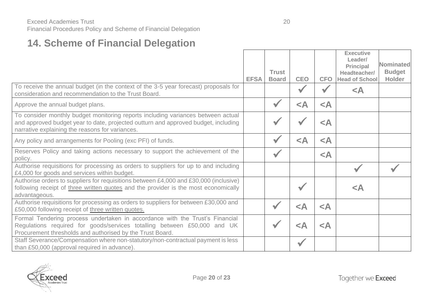# **14. Scheme of Financial Delegation**

|                                                                                                                                                                                                                           |             |                              |            |            | <b>Executive</b><br>Leader/<br><b>Principal</b> | Nominated                      |
|---------------------------------------------------------------------------------------------------------------------------------------------------------------------------------------------------------------------------|-------------|------------------------------|------------|------------|-------------------------------------------------|--------------------------------|
|                                                                                                                                                                                                                           | <b>EFSA</b> | <b>Trust</b><br><b>Board</b> | <b>CEO</b> | <b>CFO</b> | Headteacher/<br><b>Head of School</b>           | <b>Budget</b><br><b>Holder</b> |
| To receive the annual budget (in the context of the 3-5 year forecast) proposals for<br>consideration and recommendation to the Trust Board.                                                                              |             |                              |            |            | $\prec$ A                                       |                                |
| Approve the annual budget plans.                                                                                                                                                                                          |             |                              | $\prec$ A  | $\leq$ A   |                                                 |                                |
| To consider monthly budget monitoring reports including variances between actual<br>and approved budget year to date, projected outturn and approved budget, including<br>narrative explaining the reasons for variances. |             |                              |            | $\prec$ A  |                                                 |                                |
| Any policy and arrangements for Pooling (exc PFI) of funds.                                                                                                                                                               |             |                              | $\prec$ A  | $\prec$ A  |                                                 |                                |
| Reserves Policy and taking actions necessary to support the achievement of the<br>policy.                                                                                                                                 |             |                              |            | $\prec$ A  |                                                 |                                |
| Authorise requisitions for processing as orders to suppliers for up to and including<br>£4,000 for goods and services within budget.                                                                                      |             |                              |            |            |                                                 |                                |
| Authorise orders to suppliers for requisitions between £4,000 and £30,000 (inclusive)<br>following receipt of three written quotes and the provider is the most economically<br>advantageous.                             |             |                              |            |            | $\prec$ A                                       |                                |
| Authorise requisitions for processing as orders to suppliers for between £30,000 and<br>£50,000 following receipt of three written quotes.                                                                                |             |                              | $\prec$ A  | $\prec$ A  |                                                 |                                |
| Formal Tendering process undertaken in accordance with the Trust's Financial<br>Regulations required for goods/services totalling between £50,000 and UK<br>Procurement thresholds and authorised by the Trust Board.     |             |                              | $\prec$ A  | $\prec$ A  |                                                 |                                |
| Staff Severance/Compensation where non-statutory/non-contractual payment is less<br>than £50,000 (approval required in advance).                                                                                          |             |                              |            |            |                                                 |                                |

<span id="page-19-0"></span>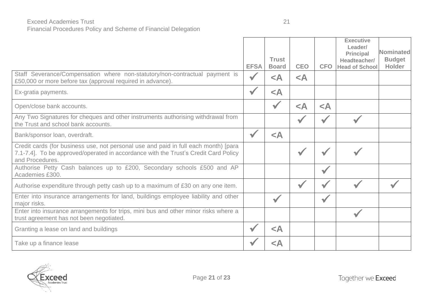#### Exceed Academies Trust 21

Financial Procedures Policy and Scheme of Financial Delegation

|                                                                                                                                                                                               |             | <b>Trust</b> |            |                      | <b>Executive</b><br>Leader/<br><b>Principal</b><br>Headteacher/ | <b>Nominated</b><br><b>Budget</b> |
|-----------------------------------------------------------------------------------------------------------------------------------------------------------------------------------------------|-------------|--------------|------------|----------------------|-----------------------------------------------------------------|-----------------------------------|
|                                                                                                                                                                                               | <b>EFSA</b> | <b>Board</b> | <b>CEO</b> | <b>CFO</b>           | <b>Head of School</b>                                           | <b>Holder</b>                     |
| Staff Severance/Compensation where non-statutory/non-contractual payment is<br>£50,000 or more before tax (approval required in advance).                                                     |             | $\prec$ A    | $\leq$ A   |                      |                                                                 |                                   |
| Ex-gratia payments.                                                                                                                                                                           |             | $\prec$ A    |            |                      |                                                                 |                                   |
| Open/close bank accounts.                                                                                                                                                                     |             |              | $\leq$ A   | $\prec$ A            |                                                                 |                                   |
| Any Two Signatures for cheques and other instruments authorising withdrawal from<br>the Trust and school bank accounts.                                                                       |             |              |            |                      |                                                                 |                                   |
| Bank/sponsor loan, overdraft.                                                                                                                                                                 |             | $\prec$ A    |            |                      |                                                                 |                                   |
| Credit cards (for business use, not personal use and paid in full each month) [para<br>7.1-7.4]. To be approved/operated in accordance with the Trust's Credit Card Policy<br>and Procedures. |             |              |            |                      |                                                                 |                                   |
| Authorise Petty Cash balances up to £200, Secondary schools £500 and AP<br>Academies £300.                                                                                                    |             |              |            |                      |                                                                 |                                   |
| Authorise expenditure through petty cash up to a maximum of £30 on any one item.                                                                                                              |             |              |            |                      |                                                                 |                                   |
| Enter into insurance arrangements for land, buildings employee liability and other<br>major risks.                                                                                            |             |              |            | $\blacktriangledown$ |                                                                 |                                   |
| Enter into insurance arrangements for trips, mini bus and other minor risks where a<br>trust agreement has not been negotiated.                                                               |             |              |            |                      |                                                                 |                                   |
| Granting a lease on land and buildings                                                                                                                                                        |             | $\prec$ A    |            |                      |                                                                 |                                   |
| Take up a finance lease                                                                                                                                                                       |             | $\prec$ A    |            |                      |                                                                 |                                   |

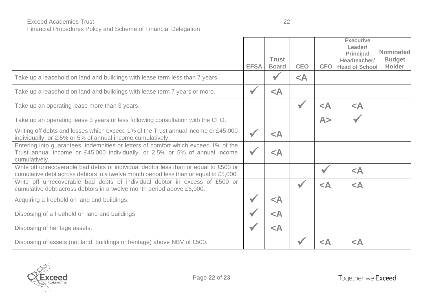#### Exceed Academies Trust 22 Financial Procedures Policy and Scheme of Financial Delegation

|                                                                                                                                                                                    | <b>EFSA</b> | <b>Trust</b><br><b>Board</b> | <b>CEO</b>           | <b>CFO</b>           | <b>Executive</b><br>Leader/<br><b>Principal</b><br>Headteacher/<br><b>Head of School</b> | <b>Nominated</b><br><b>Budget</b><br><b>Holder</b> |
|------------------------------------------------------------------------------------------------------------------------------------------------------------------------------------|-------------|------------------------------|----------------------|----------------------|------------------------------------------------------------------------------------------|----------------------------------------------------|
| Take up a leasehold on land and buildings with lease term less than 7 years.                                                                                                       |             |                              | $\leq$ A             |                      |                                                                                          |                                                    |
| Take up a leasehold on land and buildings with lease term 7 years or more.                                                                                                         |             | $\prec$ A                    |                      |                      |                                                                                          |                                                    |
| Take up an operating lease more than 3 years.                                                                                                                                      |             |                              | $\blacktriangledown$ | $\prec$ A            | $\leq$ A                                                                                 |                                                    |
| Take up an operating lease 3 years or less following consultation with the CFO.                                                                                                    |             |                              |                      | A>                   |                                                                                          |                                                    |
| Writing off debts and losses which exceed 1% of the Trust annual income or £45,000<br>individually, or 2.5% or 5% of annual income cumulatively.                                   |             | $\leq$ A                     |                      |                      |                                                                                          |                                                    |
| Entering into guarantees, indemnities or letters of comfort which exceed 1% of the<br>Trust annual income or £45,000 individually, or 2.5% or 5% of annual income<br>cumulatively. |             | $\prec$ A                    |                      |                      |                                                                                          |                                                    |
| Write off unrecoverable bad debts of individual debtor less than or equal to £500 or<br>cumulative debt across debtors in a twelve month period less than or equal to £5,000.      |             |                              |                      | $\blacktriangledown$ | $\prec$ A                                                                                |                                                    |
| Write off unrecoverable bad debts of individual debtor in excess of £500 or<br>cumulative debt across debtors in a twelve month period above £5,000.                               |             |                              | $\blacktriangledown$ | $\prec$ A            | $\prec$ A                                                                                |                                                    |
| Acquiring a freehold on land and buildings.                                                                                                                                        |             | $\prec$ A                    |                      |                      |                                                                                          |                                                    |
| Disposing of a freehold on land and buildings.                                                                                                                                     |             | $\leq$ A                     |                      |                      |                                                                                          |                                                    |
| Disposing of heritage assets.                                                                                                                                                      |             | $\leq$ A                     |                      |                      |                                                                                          |                                                    |
| Disposing of assets (not land, buildings or heritage) above NBV of £500.                                                                                                           |             |                              |                      | $\prec$ A            | <a< td=""><td></td></a<>                                                                 |                                                    |